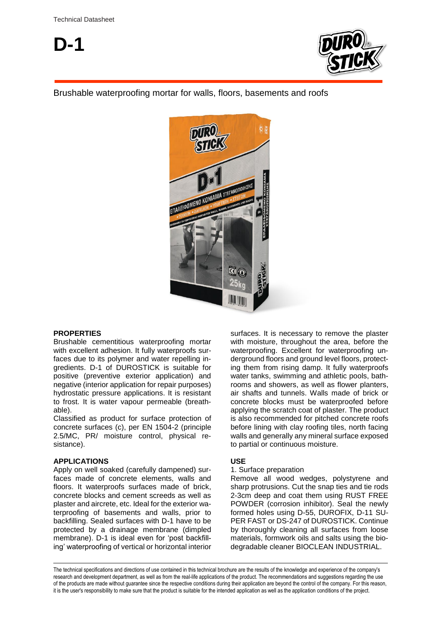

# Brushable waterproofing mortar for walls, floors, basements and roofs



## **PROPERTIES**

Brushable cementitious waterproofing mortar with excellent adhesion. It fully waterproofs surfaces due to its polymer and water repelling ingredients. D-1 of DUROSTICK is suitable for positive (preventive exterior application) and negative (interior application for repair purposes) hydrostatic pressure applications. It is resistant to frost. It is water vapour permeable (breathable).

Classified as product for surface protection of concrete surfaces (c), per EN 1504-2 (principle 2.5/MC, PR/ moisture control, physical resistance).

### **APPLICATIONS**

Apply on well soaked (carefully dampened) surfaces made of concrete elements, walls and floors. It waterproofs surfaces made of brick, concrete blocks and cement screeds as well as plaster and aircrete, etc. Ideal for the exterior waterproofing of basements and walls, prior to backfilling. Sealed surfaces with D-1 have to be protected by a drainage membrane (dimpled membrane). D-1 is ideal even for 'post backfilling' waterproofing of vertical or horizontal interior

surfaces. It is necessary to remove the plaster with moisture, throughout the area, before the waterproofing. Excellent for waterproofing underground floors and ground level floors, protecting them from rising damp. It fully waterproofs water tanks, swimming and athletic pools, bathrooms and showers, as well as flower planters, air shafts and tunnels. Walls made of brick or concrete blocks must be waterproofed before applying the scratch coat of plaster. The product is also recommended for pitched concrete roofs before lining with clay roofing tiles, north facing walls and generally any mineral surface exposed to partial or continuous moisture.

### **USE**

#### 1. Surface preparation

Remove all wood wedges, polystyrene and sharp protrusions. Cut the snap ties and tie rods 2-3cm deep and coat them using RUST FREE POWDER (corrosion inhibitor). Seal the newly formed holes using D-55, DUROFIX, D-11 SU-PER FAST or DS-247 of DUROSTICK. Continue by thoroughly cleaning all surfaces from loose materials, formwork oils and salts using the biodegradable cleaner BIOCLEAN INDUSTRIAL.

The technical specifications and directions of use contained in this technical brochure are the results of the knowledge and experience of the company's research and development department, as well as from the real-life applications of the product. The recommendations and suggestions regarding the use of the products are made without guarantee since the respective conditions during their application are beyond the control of the company. For this reason, it is the user's responsibility to make sure that the product is suitable for the intended application as well as the application conditions of the project.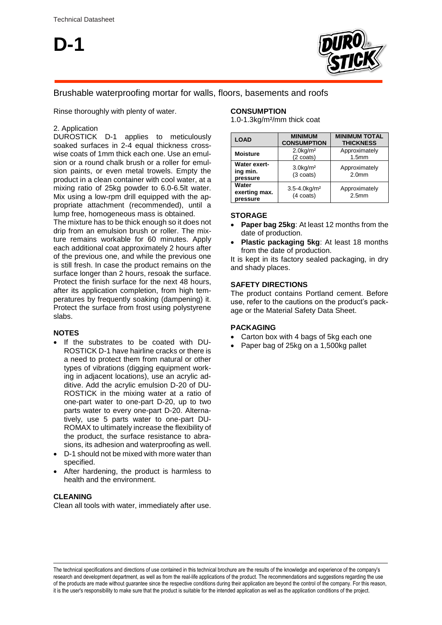**D-1**



# Brushable waterproofing mortar for walls, floors, basements and roofs

Rinse thoroughly with plenty of water.

## 2. Application

DUROSTICK D-1 applies to meticulously soaked surfaces in 2-4 equal thickness crosswise coats of 1mm thick each one. Use an emulsion or a round chalk brush or a roller for emulsion paints, or even metal trowels. Empty the product in a clean container with cool water, at a mixing ratio of 25kg powder to 6.0-6.5lt water. Mix using a low-rpm drill equipped with the appropriate attachment (recommended), until a lump free, homogeneous mass is obtained.

The mixture has to be thick enough so it does not drip from an emulsion brush or roller. The mixture remains workable for 60 minutes. Apply each additional coat approximately 2 hours after of the previous one, and while the previous one is still fresh. In case the product remains on the surface longer than 2 hours, resoak the surface. Protect the finish surface for the next 48 hours, after its application completion, from high temperatures by frequently soaking (dampening) it. Protect the surface from frost using polystyrene slabs.

## **NOTES**

- If the substrates to be coated with DU-ROSTICK D-1 have hairline cracks or there is a need to protect them from natural or other types of vibrations (digging equipment working in adjacent locations), use an acrylic additive. Add the acrylic emulsion D-20 of DU-ROSTICK in the mixing water at a ratio of one-part water to one-part D-20, up to two parts water to every one-part D-20. Alternatively, use 5 parts water to one-part DU-ROMAX to ultimately increase the flexibility of the product, the surface resistance to abrasions, its adhesion and waterproofing as well.
- D-1 should not be mixed with more water than specified.
- After hardening, the product is harmless to health and the environment.

### **CLEANING**

Clean all tools with water, immediately after use.

## **CONSUMPTION**

1.0-1.3kg/m²/mm thick coat

| <b>LOAD</b>                          | <b>MINIMUM</b><br><b>CONSUMPTION</b>                 | <b>MINIMUM TOTAL</b><br><b>THICKNESS</b> |
|--------------------------------------|------------------------------------------------------|------------------------------------------|
| <b>Moisture</b>                      | $2.0$ kg/m <sup>2</sup><br>(2 coats)                 | Approximately<br>1.5 <sub>mm</sub>       |
| Water exert-<br>ing min.<br>pressure | $3.0$ kg/m <sup>2</sup><br>$(3 \text{ coats})$       | Approximately<br>2.0 <sub>mm</sub>       |
| Water<br>exerting max.<br>pressure   | $3.5 - 4.0$ kg/m <sup>2</sup><br>$(4 \text{ coats})$ | Approximately<br>2.5 <sub>mm</sub>       |

## **STORAGE**

- **Paper bag 25kg**: At least 12 months from the date of production.
- **Plastic packaging 5kg**: At least 18 months from the date of production.

It is kept in its factory sealed packaging, in dry and shady places.

## **SAFETY DIRECTIONS**

The product contains Portland cement. Before use, refer to the cautions on the product's package or the Material Safety Data Sheet.

### **PACKAGING**

- Carton box with 4 bags of 5kg each one
- Paper bag of 25kg on a 1,500kg pallet

The technical specifications and directions of use contained in this technical brochure are the results of the knowledge and experience of the company's research and development department, as well as from the real-life applications of the product. The recommendations and suggestions regarding the use of the products are made without guarantee since the respective conditions during their application are beyond the control of the company. For this reason, it is the user's responsibility to make sure that the product is suitable for the intended application as well as the application conditions of the project.